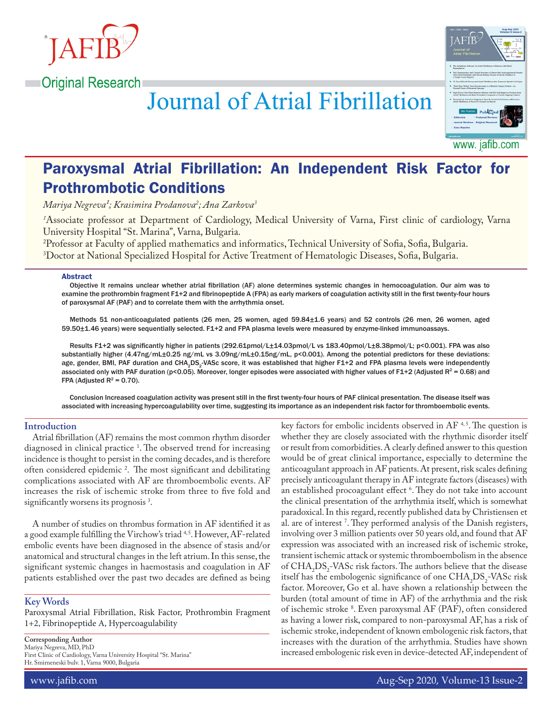

**Original Research** 

**Journal of Atrial Fibrillation** 



www. jafib.com

# Paroxysmal Atrial Fibrillation: An Independent Risk Factor for Prothrombotic Conditions

*Mariya Negreva¹; Krasimira Prodanova2 ; Ana Zarkova3*

*1* Associate professor at Department of Cardiology, Medical University of Varna, First clinic of cardiology, Varna University Hospital "St. Marina", Varna, Bulgaria.

2 Professor at Faculty of applied mathematics and informatics, Technical University of Sofia, Sofia, Bulgaria. 3 Doctor at National Specialized Hospital for Active Treatment of Hematologic Diseases, Sofia, Bulgaria.

#### Abstract

Objective It remains unclear whether atrial fibrillation (AF) alone determines systemic changes in hemocoagulation. Our aim was to examine the prothrombin fragment F1+2 and fibrinopeptide A (FPA) as early markers of coagulation activity still in the first twenty-four hours of paroxysmal AF (PAF) and to correlate them with the arrhythmia onset.

Methods 51 non-anticoagulated patients (26 men, 25 women, aged 59.84±1.6 years) and 52 controls (26 men, 26 women, aged 59.50±1.46 years) were sequentially selected. F1+2 and FPA plasma levels were measured by enzyme-linked immunoassays.

Results F1+2 was significantly higher in patients (292.61pmol/L±14.03pmol/L vs 183.40pmol/L±8.38pmol/L; p<0.001). FPA was also substantially higher (4.47ng/mL±0.25 ng/mL vs 3.09ng/mL±0.15ng/mL, p<0.001). Among the potential predictors for these deviations: age, gender, BMI, PAF duration and CHA<sub>2</sub>DS<sub>2</sub>-VASc score, it was established that higher F1+2 and FPA plasma levels were independently associated only with PAF duration (p<0.05). Moreover, longer episodes were associated with higher values of F1+2 (Adjusted  $R^2 = 0.68$ ) and FPA (Adjusted  $R^2$  = 0.70).

Conclusion Increased coagulation activity was present still in the first twenty-four hours of PAF clinical presentation. The disease itself was associated with increasing hypercoagulability over time, suggesting its importance as an independent risk factor for thromboembolic events.

# **Introduction**

Atrial fibrillation (AF) remains the most common rhythm disorder diagnosed in clinical practice 1 . The observed trend for increasing incidence is thought to persist in the coming decades, and is therefore often considered epidemic 2 . The most significant and debilitating complications associated with AF are thromboembolic events. AF increases the risk of ischemic stroke from three to five fold and significantly worsens its prognosis<sup>3</sup>.

A number of studies on thrombus formation in AF identified it as a good example fulfilling the Virchow's triad 4,5. However, AF-related embolic events have been diagnosed in the absence of stasis and/or anatomical and structural changes in the left atrium. In this sense, the significant systemic changes in haemostasis and coagulation in AF patients established over the past two decades are defined as being

# **Key Words**

Paroxysmal Atrial Fibrillation, Risk Factor, Prothrombin Fragment 1+2, Fibrinopeptide A, Hypercoagulability

**Corresponding Author** Mariya Negreva, MD, PhD First Clinic of Cardiology, Varna University Hospital "St. Marina" Hr. Smirneneski bulv. 1, Varna 9000, Bulgaria

key factors for embolic incidents observed in AF  $4,5$ . The question is whether they are closely associated with the rhythmic disorder itself or result from comorbidities. A clearly defined answer to this question would be of great clinical importance, especially to determine the anticoagulant approach in AF patients. At present, risk scales defining precisely anticoagulant therapy in AF integrate factors (diseases) with an established procoagulant effect 6 . They do not take into account the clinical presentation of the arrhythmia itself, which is somewhat paradoxical. In this regard, recently published data by Christiensen et al. are of interest 7 . They performed analysis of the Danish registers, involving over 3 million patients over 50 years old, and found that AF expression was associated with an increased risk of ischemic stroke, transient ischemic attack or systemic thromboembolism in the absence of  $CHA<sub>2</sub>DS<sub>2</sub> - VASC risk factors. The authors believe that the disease$ itself has the embologenic significance of one  $CHA<sub>2</sub>DS<sub>2</sub>$ -VASc risk factor. Moreover, Go et al. have shown a relationship between the burden (total amount of time in AF) of the arrhythmia and the risk of ischemic stroke 8 . Even paroxysmal AF (PAF), often considered as having a lower risk, compared to non-paroxysmal AF, has a risk of ischemic stroke, independent of known embologenic risk factors, that increases with the duration of the arrhythmia. Studies have shown increased embologenic risk even in device-detected AF, independent of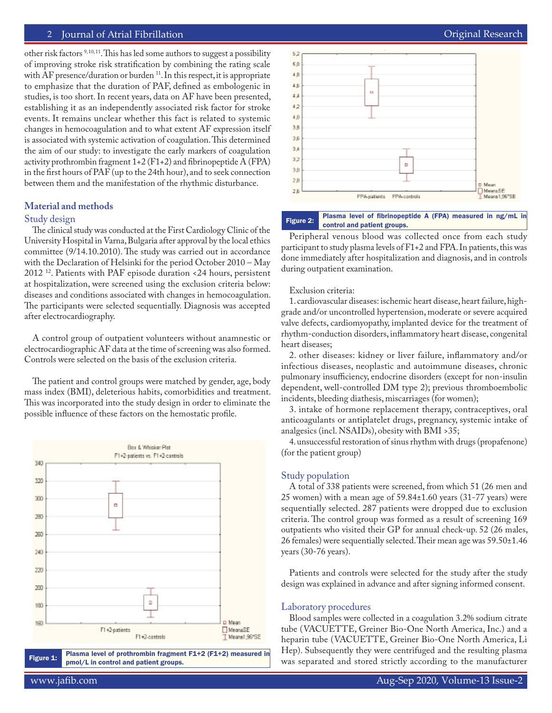other risk factors <sup>9, 10, 11</sup>. This has led some authors to suggest a possibility of improving stroke risk stratification by combining the rating scale with AF presence/duration or burden <sup>11</sup>. In this respect, it is appropriate to emphasize that the duration of PAF, defined as embologenic in studies, is too short. In recent years, data on AF have been presented, establishing it as an independently associated risk factor for stroke events. It remains unclear whether this fact is related to systemic changes in hemocoagulation and to what extent AF expression itself is associated with systemic activation of coagulation. This determined the aim of our study: to investigate the early markers of coagulation activity prothrombin fragment  $1+2$  (F1+2) and fibrinopeptide A (FPA) in the first hours of PAF (up to the 24th hour), and to seek connection between them and the manifestation of the rhythmic disturbance.

## **Material and methods**

# Study design

The clinical study was conducted at the First Cardiology Clinic of the University Hospital in Varna, Bulgaria after approval by the local ethics committee (9/14.10.2010). The study was carried out in accordance with the Declaration of Helsinki for the period October 2010 – May 2012 12. Patients with PAF episode duration <24 hours, persistent at hospitalization, were screened using the exclusion criteria below: diseases and conditions associated with changes in hemocoagulation. The participants were selected sequentially. Diagnosis was accepted after electrocardiography.

A control group of outpatient volunteers without anamnestic or electrocardiographic AF data at the time of screening was also formed. Controls were selected on the basis of the exclusion criteria.

The patient and control groups were matched by gender, age, body mass index (BMI), deleterious habits, comorbidities and treatment. This was incorporated into the study design in order to eliminate the possible influence of these factors on the hemostatic profile.



Figure 1: Plasma level of prothrombin fragment F1+2 (F1+2) measured in pmol/L in control and patient groups.



Figure 2: Plasma level of fibrinopeptide A (FPA) measured in ng/mL in control and patient groups.

Peripheral venous blood was collected once from each study participant to study plasma levels of F1+2 and FPA. In patients, this was done immediately after hospitalization and diagnosis, and in controls during outpatient examination.

#### Exclusion criteria:

1. cardiovascular diseases: ischemic heart disease, heart failure, highgrade and/or uncontrolled hypertension, moderate or severe acquired valve defects, cardiomyopathy, implanted device for the treatment of rhythm-conduction disorders, inflammatory heart disease, congenital heart diseases;

2. other diseases: kidney or liver failure, inflammatory and/or infectious diseases, neoplastic and autoimmune diseases, chronic pulmonary insufficiency, endocrine disorders (except for non-insulin dependent, well-controlled DM type 2); previous thromboembolic incidents, bleeding diathesis, miscarriages (for women);

3. intake of hormone replacement therapy, contraceptives, oral anticoagulants or antiplatelet drugs, pregnancy, systemic intake of analgesics (incl. NSAIDs), obesity with BMI >35;

4. unsuccessful restoration of sinus rhythm with drugs (propafenone) (for the patient group)

# Study population

A total of 338 patients were screened, from which 51 (26 men and 25 women) with a mean age of 59.84±1.60 years (31-77 years) were sequentially selected. 287 patients were dropped due to exclusion criteria. The control group was formed as a result of screening 169 outpatients who visited their GP for annual check-up. 52 (26 males, 26 females) were sequentially selected. Their mean age was  $59.50 \pm 1.46$ years (30-76 years).

Patients and controls were selected for the study after the study design was explained in advance and after signing informed consent.

#### Laboratory procedures

Blood samples were collected in a coagulation 3.2% sodium citrate tube (VACUETTE, Greiner Bio-One North America, Inc.) and a heparin tube (VACUETTE, Greiner Bio-One North America, Li Hep). Subsequently they were centrifuged and the resulting plasma was separated and stored strictly according to the manufacturer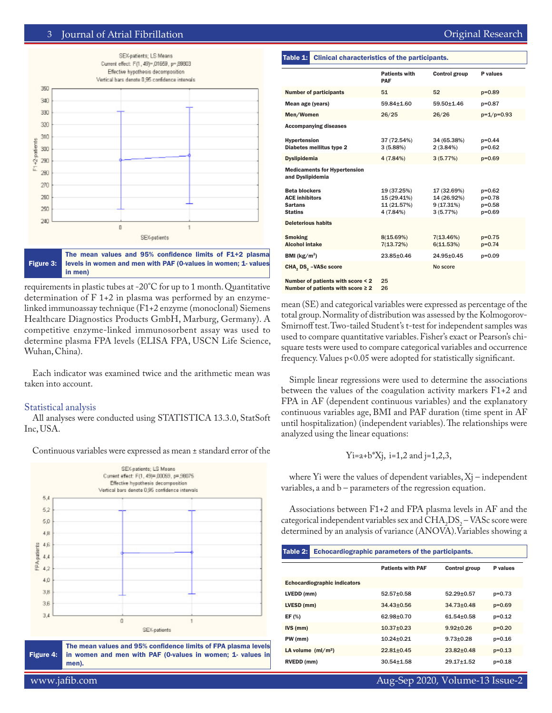

Figure 3: The mean values and 95% confidence limits of F1+2 plasma levels in women and men with PAF (0-values in women; 1- values in men)

requirements in plastic tubes at -20°C for up to 1 month. Quantitative determination of F 1+2 in plasma was performed by an enzymelinked immunoassay technique (F1+2 enzyme (monoclonal) Siemens Healthcare Diagnostics Products GmbH, Marburg, Germany). A competitive enzyme-linked immunosorbent assay was used to determine plasma FPA levels (ELISA FPA, USCN Life Science, Wuhan, China).

Each indicator was examined twice and the arithmetic mean was taken into account.

# Statistical analysis

All analyses were conducted using STATISTICA 13.3.0, StatSoft Inc, USA.

Continuous variables were expressed as mean ± standard error of the



#### Table 1: Clinical characteristics of the participants.

|                                                                                   | <b>Patients with</b><br>PAF                            | <b>Control group</b>                                | P values                                     |
|-----------------------------------------------------------------------------------|--------------------------------------------------------|-----------------------------------------------------|----------------------------------------------|
| <b>Number of participants</b>                                                     | 51                                                     | 52                                                  | $p = 0.89$                                   |
| Mean age (years)                                                                  | 59.84+1.60                                             | 59.50+1.46                                          | p=0.87                                       |
| Men/Women                                                                         | 26/25                                                  | 26/26                                               | $p=1/p=0.93$                                 |
| <b>Accompanying diseases</b>                                                      |                                                        |                                                     |                                              |
| <b>Hypertension</b><br>Diabetes mellitus type 2                                   | 37 (72.54%)<br>3(5.88%)                                | 34 (65.38%)<br>$2(3.84\%)$                          | $p=0.44$<br>$p=0.62$                         |
| <b>Dyslipidemia</b>                                                               | 4 (7.84%)                                              | 3(5.77%)                                            | $p = 0.69$                                   |
| <b>Medicaments for Hypertension</b><br>and Dyslipidemia                           |                                                        |                                                     |                                              |
| <b>Beta blockers</b><br><b>ACE inhibitors</b><br><b>Sartans</b><br><b>Statins</b> | 19 (37.25%)<br>15 (29.41%)<br>11 (21.57%)<br>4 (7.84%) | 17 (32.69%)<br>14 (26.92%)<br>9(17.31%)<br>3(5.77%) | $p=0.62$<br>p=0.78<br>$p=0.58$<br>$p = 0.69$ |
| <b>Deleterious habits</b>                                                         |                                                        |                                                     |                                              |
| <b>Smoking</b><br><b>Alcohol intake</b>                                           | 8(15.69%)<br>7(13.72%)                                 | 7(13.46%)<br>6(11.53%)                              | $p=0.75$<br>$p=0.74$                         |
| BMI ( $kg/m2$ )                                                                   | 23.85±0.46                                             | 24.95±0.45                                          | $p=0.09$                                     |
| CHA, DS, -VASc score                                                              |                                                        | No score                                            |                                              |
| Number of patients with score < 2<br>Number of patients with score $\geq 2$       | 25<br>26                                               |                                                     |                                              |

mean (SE) and categorical variables were expressed as percentage of the total group. Normality of distribution was assessed by the Kolmogorov-Smirnoff test. Two-tailed Student's t-test for independent samples was used to compare quantitative variables. Fisher's exact or Pearson's chisquare tests were used to compare categorical variables and occurrence frequency. Values p<0.05 were adopted for statistically significant.

Simple linear regressions were used to determine the associations between the values of the coagulation activity markers F1+2 and FPA in AF (dependent continuous variables) and the explanatory continuous variables age, BMI and PAF duration (time spent in AF until hospitalization) (independent variables). The relationships were analyzed using the linear equations:

$$
Yi=a+b*Xj
$$
,  $i=1,2$  and  $j=1,2,3$ ,

where  $Y_i$  were the values of dependent variables,  $X_i$  – independent variables, a and b – parameters of the regression equation.

Associations between F1+2 and FPA plasma levels in AF and the categorical independent variables sex and  $CHA_2DS_2 - VASc$  score were determined by an analysis of variance (ANOVA).Variables showing a

| Table 2:   | Echocardiographic parameters of the participants. |                          |                      |          |  |
|------------|---------------------------------------------------|--------------------------|----------------------|----------|--|
|            |                                                   | <b>Patients with PAF</b> | <b>Control group</b> | P values |  |
|            | <b>Echocardiographic indicators</b>               |                          |                      |          |  |
| LVEDD (mm) |                                                   | $52.57 + 0.58$           | $52.29 + 0.57$       | $p=0.73$ |  |
| LVESD (mm) |                                                   | $34.43 + 0.56$           | $34.73 + 0.48$       | $p=0.69$ |  |
| EF (%)     |                                                   | 62.98+0.70               | $61.54 + 0.58$       | $p=0.12$ |  |
| $IVS$ (mm) |                                                   | $10.37 + 0.23$           | $9.92 \pm 0.26$      | $p=0.20$ |  |
| PW (mm)    |                                                   | $10.24 + 0.21$           | $9.73 + 0.28$        | $p=0.16$ |  |
|            | LA volume $(mI/m2)$                               | $22.81 + 0.45$           | $23.82 + 0.48$       | $p=0.13$ |  |
| RVEDD (mm) |                                                   | $30.54 + 1.58$           | 29.17+1.52           | $p=0.18$ |  |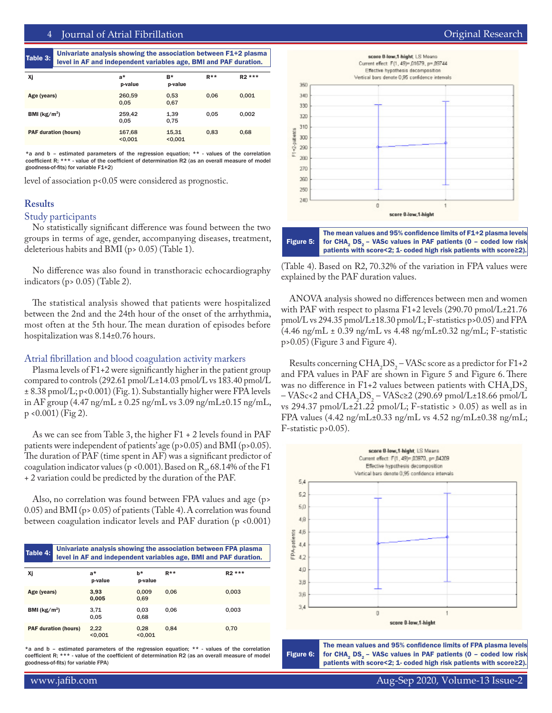Table 3: Univariate analysis showing the association between F1+2 plasma level in AF and independent variables age, BMI and PAF duration.

|                             |                   | $-$              |        |         |
|-----------------------------|-------------------|------------------|--------|---------|
|                             |                   |                  |        |         |
| Χj                          | a*<br>p-value     | B*<br>p-value    | $R***$ | $R2***$ |
| Age (years)                 | 260,59<br>0.05    | 0,53<br>0,67     | 0.06   | 0,001   |
| BMI $(kg/m2)$               | 259.42<br>0,05    | 1,39<br>0,75     | 0.05   | 0,002   |
| <b>PAF duration (hours)</b> | 167,68<br>< 0.001 | 15,31<br>< 0.001 | 0.83   | 0.68    |

\*a and b – estimated parameters of the regression equation; \*\* - values of the correlation coefficient R; \*\*\* - value of the coefficient of determination R2 (as an overall measure of model goodness-of-fits) for variable F1+2)

level of association p<0.05 were considered as prognostic.

## **Results**

# Study participants

No statistically significant difference was found between the two groups in terms of age, gender, accompanying diseases, treatment, deleterious habits and BMI (p> 0.05) (Table 1).

No difference was also found in transthoracic echocardiography indicators (p> 0.05) (Table 2).

The statistical analysis showed that patients were hospitalized between the 2nd and the 24th hour of the onset of the arrhythmia, most often at the 5th hour. The mean duration of episodes before hospitalization was 8.14±0.76 hours.

# Atrial fibrillation and blood coagulation activity markers

Plasma levels of F1+2 were significantly higher in the patient group compared to controls (292.61 pmol/L±14.03 pmol/L vs 183.40 pmol/L ± 8.38 pmol/L; p<0.001) (Fig. 1). Substantially higher were FPA levels in AF group  $(4.47 \text{ ng/mL} \pm 0.25 \text{ ng/mL}$  vs  $3.09 \text{ ng/mL} \pm 0.15 \text{ ng/mL}$ ,  $p \le 0.001$  (Fig 2).

As we can see from Table 3, the higher F1 + 2 levels found in PAF patients were independent of patients' age (p>0.05) and BMI (p>0.05). The duration of PAF (time spent in AF) was a significant predictor of coagulation indicator values (p <0.001). Based on  $R_2$ , 68.14% of the F1 + 2 variation could be predicted by the duration of the PAF.

Also, no correlation was found between FPA values and age (p> 0.05) and BMI (p> 0.05) of patients (Table 4). A correlation was found between coagulation indicator levels and PAF duration (p <0.001)

| Table 4:                    | Univariate analysis showing the association between FPA plasma<br>level in AF and independent variables age, BMI and PAF duration. |                 |        |         |  |  |
|-----------------------------|------------------------------------------------------------------------------------------------------------------------------------|-----------------|--------|---------|--|--|
|                             |                                                                                                                                    |                 |        |         |  |  |
| Χj                          | a*<br>p-value                                                                                                                      | h*<br>p-value   | $R***$ | $R2***$ |  |  |
| Age (years)                 | 3.93<br>0.005                                                                                                                      | 0.009<br>0.69   | 0.06   | 0.003   |  |  |
| BMI ( $\text{kg/m}^2$ )     | 3,71<br>0.05                                                                                                                       | 0.03<br>0.68    | 0.06   | 0.003   |  |  |
| <b>PAF duration (hours)</b> | 2,22<br>< 0.001                                                                                                                    | 0.28<br>< 0.001 | 0.84   | 0.70    |  |  |

\*a and b – estimated parameters of the regression equation; \*\* - values of the correlation coefficient R; \*\*\* - value of the coefficient of determination R2 (as an overall measure of model goodness-of-fits) for variable FPA)





(Table 4). Based on R2, 70.32% of the variation in FPA values were explained by the PAF duration values.

ANOVA analysis showed no differences between men and women with PAF with respect to plasma F1+2 levels (290.70 pmol/L±21.76 pmol/L vs 294.35 pmol/L±18.30 pmol/L; F-statistics p>0.05) and FPA (4.46 ng/mL ± 0.39 ng/mL vs 4.48 ng/mL±0.32 ng/mL; F-statistic p>0.05) (Figure 3 and Figure 4).

Results concerning  $CHA_2DS_2$  – VASc score as a predictor for F1+2 and FPA values in PAF are shown in Figure 5 and Figure 6. There was no difference in F1+2 values between patients with  $CHA<sub>2</sub>DS<sub>2</sub>$  $-$  VASc<2 and CHA<sub>2</sub>DS<sub>2</sub>  $-$  VASc $\geq$  (290.69 pmol/L±18.66 pmol/L vs 294.37 pmol/L $\pm$ 21.22 pmol/L; F-statistic > 0.05) as well as in FPA values  $(4.42 \text{ ng/mL} \pm 0.33 \text{ ng/mL}$  vs  $4.52 \text{ ng/mL} \pm 0.38 \text{ ng/mL}$ ; F-statistic p>0.05).



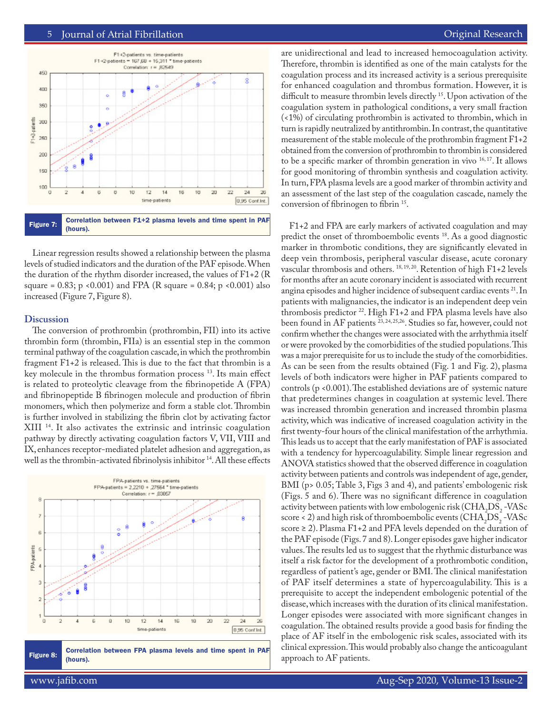## 5 Journal of Atrial Fibrillation Original Research Featured Review



Linear regression results showed a relationship between the plasma levels of studied indicators and the duration of the PAF episode. When the duration of the rhythm disorder increased, the values of F1+2 (R square =  $0.83$ ; p <  $0.001$ ) and FPA (R square =  $0.84$ ; p <  $0.001$ ) also increased (Figure 7, Figure 8).

#### **Discussion**

The conversion of prothrombin (prothrombin, FII) into its active thrombin form (thrombin, FIIa) is an essential step in the common terminal pathway of the coagulation cascade, in which the prothrombin fragment F1+2 is released. This is due to the fact that thrombin is a key molecule in the thrombus formation process 13. Its main effect is related to proteolytic cleavage from the fibrinopetide A (FPA) and fibrinopeptide B fibrinogen molecule and production of fibrin monomers, which then polymerize and form a stable clot. Thrombin is further involved in stabilizing the fibrin clot by activating factor XIII 14. It also activates the extrinsic and intrinsic coagulation pathway by directly activating coagulation factors V, VII, VIII and IX, enhances receptor-mediated platelet adhesion and aggregation, as well as the thrombin-activated fibrinolysis inhibitor<sup>14</sup>. All these effects



Figure 8: Correlation between FPA plasma levels and time spent in PAF (hours).

are unidirectional and lead to increased hemocoagulation activity. Therefore, thrombin is identified as one of the main catalysts for the coagulation process and its increased activity is a serious prerequisite for enhanced coagulation and thrombus formation. However, it is difficult to measure thrombin levels directly 15. Upon activation of the coagulation system in pathological conditions, a very small fraction (<1%) of circulating prothrombin is activated to thrombin, which in turn is rapidly neutralized by antithrombin. In contrast, the quantitative measurement of the stable molecule of the prothrombin fragment F1+2 obtained from the conversion of prothrombin to thrombin is considered to be a specific marker of thrombin generation in vivo 16, 17. It allows for good monitoring of thrombin synthesis and coagulation activity. In turn, FPA plasma levels are a good marker of thrombin activity and an assessment of the last step of the coagulation cascade, namely the conversion of fibrinogen to fibrin 15.

F1+2 and FPA are early markers of activated coagulation and may predict the onset of thromboembolic events <sup>18</sup>. As a good diagnostic marker in thrombotic conditions, they are significantly elevated in deep vein thrombosis, peripheral vascular disease, acute coronary vascular thrombosis and others. 18, 19, 20. Retention of high F1+2 levels for months after an acute coronary incident is associated with recurrent angina episodes and higher incidence of subsequent cardiac events <sup>21</sup>. In patients with malignancies, the indicator is an independent deep vein thrombosis predictor  $^{22}$ . High F1+2 and FPA plasma levels have also been found in AF patients<sup>23, 24, 25, 26</sup>. Studies so far, however, could not confirm whether the changes were associated with the arrhythmia itself or were provoked by the comorbidities of the studied populations. This was a major prerequisite for us to include the study of the comorbidities. As can be seen from the results obtained (Fig. 1 and Fig. 2), plasma levels of both indicators were higher in PAF patients compared to controls (p <0.001). The established deviations are of systemic nature that predetermines changes in coagulation at systemic level. There was increased thrombin generation and increased thrombin plasma activity, which was indicative of increased coagulation activity in the first twenty-four hours of the clinical manifestation of the arrhythmia. This leads us to accept that the early manifestation of PAF is associated with a tendency for hypercoagulability. Simple linear regression and ANOVA statistics showed that the observed difference in coagulation activity between patients and controls was independent of age, gender, BMI (p> 0.05; Table 3, Figs 3 and 4), and patients' embologenic risk (Figs. 5 and 6). There was no significant difference in coagulation activity between patients with low embologenic risk ( $\mathrm{CHA}_2\mathrm{DS}_2$ -VASc score < 2) and high risk of thromboembolic events  $\left(CHA_{2}DS_{2}\text{-VASC}\right)$ score ≥ 2). Plasma F1+2 and PFA levels depended on the duration of the PAF episode (Figs. 7 and 8). Longer episodes gave higher indicator values. The results led us to suggest that the rhythmic disturbance was itself a risk factor for the development of a prothrombotic condition, regardless of patient's age, gender or BMI. The clinical manifestation of PAF itself determines a state of hypercoagulability. This is a prerequisite to accept the independent embologenic potential of the disease, which increases with the duration of its clinical manifestation. Longer episodes were associated with more significant changes in coagulation. The obtained results provide a good basis for finding the place of AF itself in the embologenic risk scales, associated with its clinical expression. This would probably also change the anticoagulant approach to AF patients.